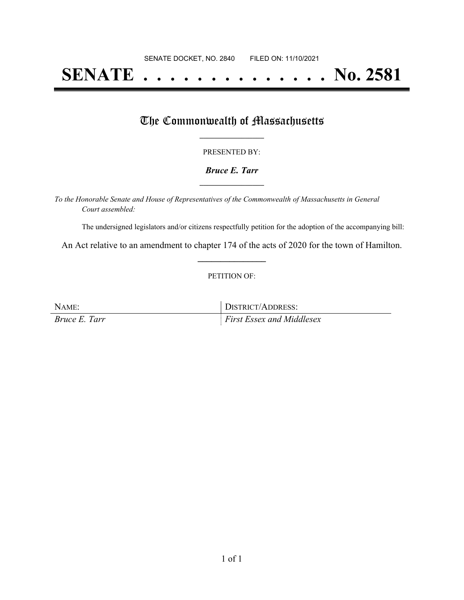# **SENATE . . . . . . . . . . . . . . No. 2581**

### The Commonwealth of Massachusetts

#### PRESENTED BY:

#### *Bruce E. Tarr* **\_\_\_\_\_\_\_\_\_\_\_\_\_\_\_\_\_**

*To the Honorable Senate and House of Representatives of the Commonwealth of Massachusetts in General Court assembled:*

The undersigned legislators and/or citizens respectfully petition for the adoption of the accompanying bill:

An Act relative to an amendment to chapter 174 of the acts of 2020 for the town of Hamilton. **\_\_\_\_\_\_\_\_\_\_\_\_\_\_\_**

#### PETITION OF:

NAME: DISTRICT/ADDRESS: *Bruce E. Tarr First Essex and Middlesex*